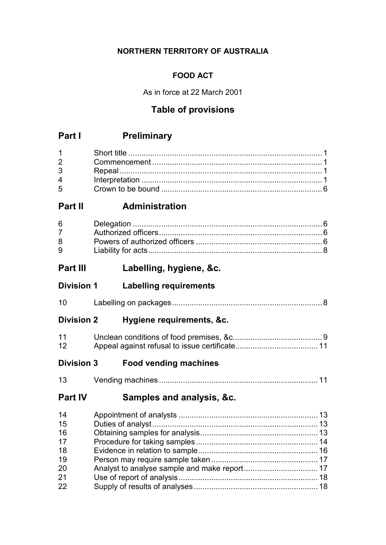## **NORTHERN TERRITORY OF AUSTRALIA**

## **FOOD ACT**

As in force at 22 March 2001

# **Table of provisions**

# **Part I Preliminary**

| $5^{\circ}$ |  |
|-------------|--|

# **Part II Administration**

| $6 \qquad \qquad$ |  |
|-------------------|--|
|                   |  |
| 8                 |  |
| 9                 |  |

# **Part III Labelling, hygiene, &c.**

# **Division 1 Labelling requirements**

| 10 |  |
|----|--|
|    |  |

# **Division 2 Hygiene requirements, &c.**

| 11 |  |
|----|--|
| 12 |  |

# **Division 3 Food vending machines**

| $\overline{a}$ |  |  |
|----------------|--|--|
|----------------|--|--|

# **Part IV Samples and analysis, &c.**

| 14 |  |
|----|--|
| 15 |  |
| 16 |  |
| 17 |  |
| 18 |  |
| 19 |  |
| 20 |  |
| 21 |  |
| 22 |  |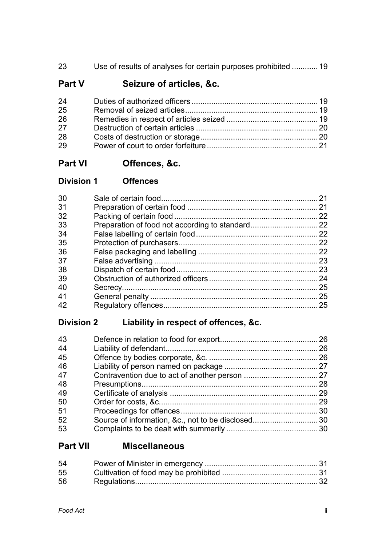| 23 | Use of results of analyses for certain purposes prohibited  19 |  |
|----|----------------------------------------------------------------|--|
|    |                                                                |  |

# **Part V Seizure of articles, &c.**

| 24 |  |
|----|--|
| 25 |  |
| 26 |  |
| 27 |  |
| 28 |  |
| 29 |  |

# **Part VI Offences, &c.**

| <b>Division 1</b> | <b>Offences</b> |
|-------------------|-----------------|
|                   |                 |

| 30 | -21 |
|----|-----|
| 31 | 21  |
| 32 | 22  |
| 33 |     |
| 34 |     |
| 35 |     |
| 36 |     |
| 37 | 23  |
| 38 | 23  |
| 39 | 24  |
| 40 | 25  |
| 41 | 25  |
| 42 | 25  |
|    |     |

# **Division 2 Liability in respect of offences, &c.**

| 43 |  |
|----|--|
| 44 |  |
| 45 |  |
| 46 |  |
| 47 |  |
| 48 |  |
| 49 |  |
| 50 |  |
| 51 |  |
| 52 |  |
| 53 |  |

# **Part VII Miscellaneous**

| 54 |  |
|----|--|
| 55 |  |
| 56 |  |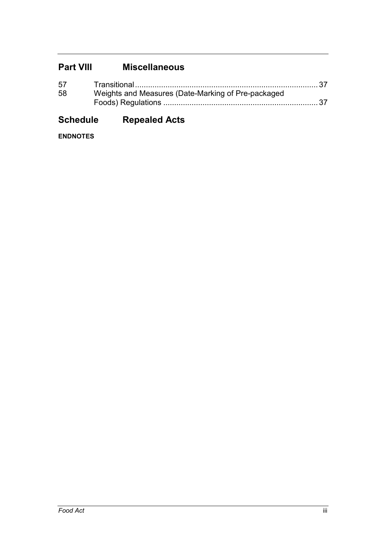# **Part VIII Miscellaneous**

| 57 |                                                    |  |
|----|----------------------------------------------------|--|
| 58 | Weights and Measures (Date-Marking of Pre-packaged |  |
|    |                                                    |  |

# **Schedule Repealed Acts**

**ENDNOTES**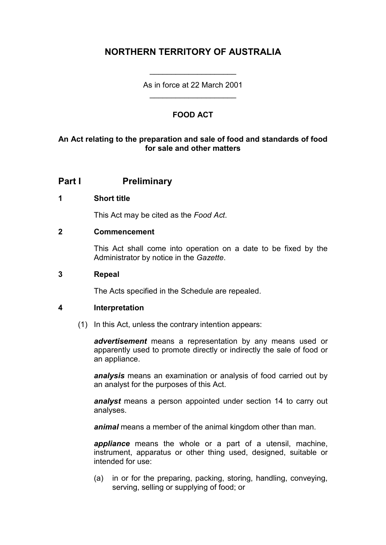# **NORTHERN TERRITORY OF AUSTRALIA**

As in force at 22 March 2001 \_\_\_\_\_\_\_\_\_\_\_\_\_\_\_\_\_\_\_\_

\_\_\_\_\_\_\_\_\_\_\_\_\_\_\_\_\_\_\_\_

## **FOOD ACT**

### **An Act relating to the preparation and sale of food and standards of food for sale and other matters**

## **Part I Preliminary**

### **1 Short title**

This Act may be cited as the *Food Act*.

#### **2 Commencement**

This Act shall come into operation on a date to be fixed by the Administrator by notice in the *Gazette*.

#### **3 Repeal**

The Acts specified in the Schedule are repealed.

#### **4 Interpretation**

(1) In this Act, unless the contrary intention appears:

*advertisement* means a representation by any means used or apparently used to promote directly or indirectly the sale of food or an appliance.

*analysis* means an examination or analysis of food carried out by an analyst for the purposes of this Act.

*analyst* means a person appointed under section 14 to carry out analyses.

*animal* means a member of the animal kingdom other than man.

*appliance* means the whole or a part of a utensil, machine, instrument, apparatus or other thing used, designed, suitable or intended for use:

(a) in or for the preparing, packing, storing, handling, conveying, serving, selling or supplying of food; or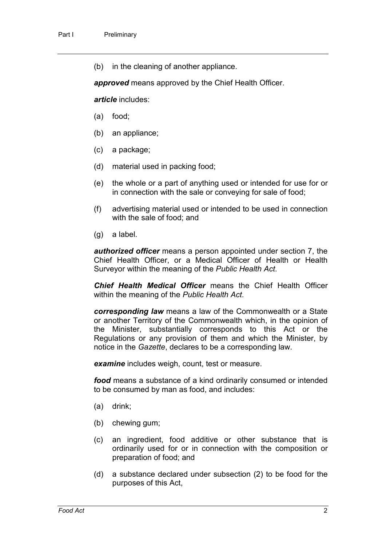(b) in the cleaning of another appliance.

*approved* means approved by the Chief Health Officer.

*article* includes:

- (a) food;
- (b) an appliance;
- (c) a package;
- (d) material used in packing food;
- (e) the whole or a part of anything used or intended for use for or in connection with the sale or conveying for sale of food;
- (f) advertising material used or intended to be used in connection with the sale of food; and
- (g) a label.

*authorized officer* means a person appointed under section 7, the Chief Health Officer, or a Medical Officer of Health or Health Surveyor within the meaning of the *Public Health Act*.

*Chief Health Medical Officer* means the Chief Health Officer within the meaning of the *Public Health Act*.

*corresponding law* means a law of the Commonwealth or a State or another Territory of the Commonwealth which, in the opinion of the Minister, substantially corresponds to this Act or the Regulations or any provision of them and which the Minister, by notice in the *Gazette*, declares to be a corresponding law.

*examine* includes weigh, count, test or measure.

*food* means a substance of a kind ordinarily consumed or intended to be consumed by man as food, and includes:

- (a) drink;
- (b) chewing gum;
- (c) an ingredient, food additive or other substance that is ordinarily used for or in connection with the composition or preparation of food; and
- (d) a substance declared under subsection (2) to be food for the purposes of this Act,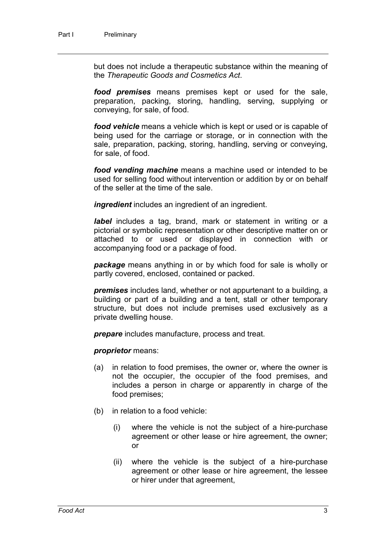but does not include a therapeutic substance within the meaning of the *Therapeutic Goods and Cosmetics Act*.

*food premises* means premises kept or used for the sale, preparation, packing, storing, handling, serving, supplying or conveying, for sale, of food.

*food vehicle* means a vehicle which is kept or used or is capable of being used for the carriage or storage, or in connection with the sale, preparation, packing, storing, handling, serving or conveying, for sale, of food.

*food vending machine* means a machine used or intended to be used for selling food without intervention or addition by or on behalf of the seller at the time of the sale.

*ingredient* includes an ingredient of an ingredient.

*label* includes a tag, brand, mark or statement in writing or a pictorial or symbolic representation or other descriptive matter on or attached to or used or displayed in connection with or accompanying food or a package of food.

*package* means anything in or by which food for sale is wholly or partly covered, enclosed, contained or packed.

*premises* includes land, whether or not appurtenant to a building, a building or part of a building and a tent, stall or other temporary structure, but does not include premises used exclusively as a private dwelling house.

*prepare* includes manufacture, process and treat.

*proprietor* means:

- (a) in relation to food premises, the owner or, where the owner is not the occupier, the occupier of the food premises, and includes a person in charge or apparently in charge of the food premises;
- (b) in relation to a food vehicle:
	- (i) where the vehicle is not the subject of a hire-purchase agreement or other lease or hire agreement, the owner; or
	- (ii) where the vehicle is the subject of a hire-purchase agreement or other lease or hire agreement, the lessee or hirer under that agreement,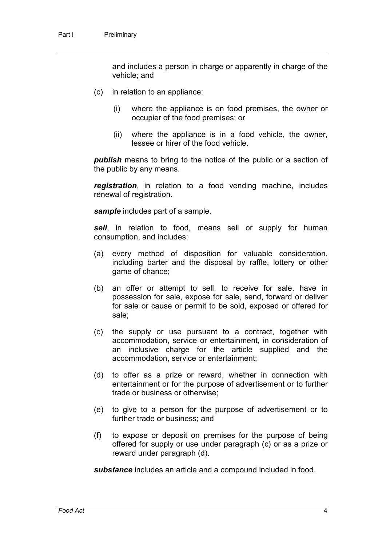and includes a person in charge or apparently in charge of the vehicle; and

- (c) in relation to an appliance:
	- (i) where the appliance is on food premises, the owner or occupier of the food premises; or
	- (ii) where the appliance is in a food vehicle, the owner, lessee or hirer of the food vehicle.

*publish* means to bring to the notice of the public or a section of the public by any means.

*registration*, in relation to a food vending machine, includes renewal of registration.

*sample* includes part of a sample.

*sell*, in relation to food, means sell or supply for human consumption, and includes:

- (a) every method of disposition for valuable consideration, including barter and the disposal by raffle, lottery or other game of chance;
- (b) an offer or attempt to sell, to receive for sale, have in possession for sale, expose for sale, send, forward or deliver for sale or cause or permit to be sold, exposed or offered for sale;
- (c) the supply or use pursuant to a contract, together with accommodation, service or entertainment, in consideration of an inclusive charge for the article supplied and the accommodation, service or entertainment;
- (d) to offer as a prize or reward, whether in connection with entertainment or for the purpose of advertisement or to further trade or business or otherwise;
- (e) to give to a person for the purpose of advertisement or to further trade or business; and
- (f) to expose or deposit on premises for the purpose of being offered for supply or use under paragraph (c) or as a prize or reward under paragraph (d).

*substance* includes an article and a compound included in food.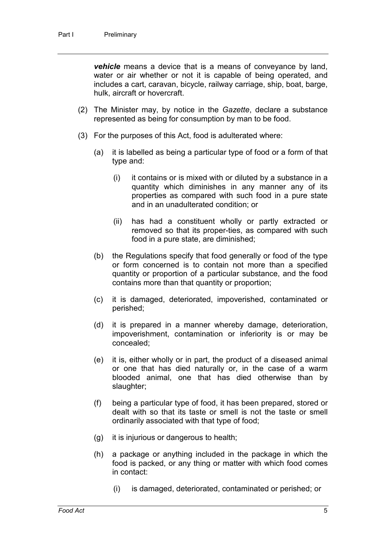*vehicle* means a device that is a means of conveyance by land, water or air whether or not it is capable of being operated, and includes a cart, caravan, bicycle, railway carriage, ship, boat, barge, hulk, aircraft or hovercraft.

- (2) The Minister may, by notice in the *Gazette*, declare a substance represented as being for consumption by man to be food.
- (3) For the purposes of this Act, food is adulterated where:
	- (a) it is labelled as being a particular type of food or a form of that type and:
		- (i) it contains or is mixed with or diluted by a substance in a quantity which diminishes in any manner any of its properties as compared with such food in a pure state and in an unadulterated condition; or
		- (ii) has had a constituent wholly or partly extracted or removed so that its proper-ties, as compared with such food in a pure state, are diminished;
	- (b) the Regulations specify that food generally or food of the type or form concerned is to contain not more than a specified quantity or proportion of a particular substance, and the food contains more than that quantity or proportion;
	- (c) it is damaged, deteriorated, impoverished, contaminated or perished;
	- (d) it is prepared in a manner whereby damage, deterioration, impoverishment, contamination or inferiority is or may be concealed;
	- (e) it is, either wholly or in part, the product of a diseased animal or one that has died naturally or, in the case of a warm blooded animal, one that has died otherwise than by slaughter;
	- (f) being a particular type of food, it has been prepared, stored or dealt with so that its taste or smell is not the taste or smell ordinarily associated with that type of food;
	- (g) it is injurious or dangerous to health;
	- (h) a package or anything included in the package in which the food is packed, or any thing or matter with which food comes in contact:
		- (i) is damaged, deteriorated, contaminated or perished; or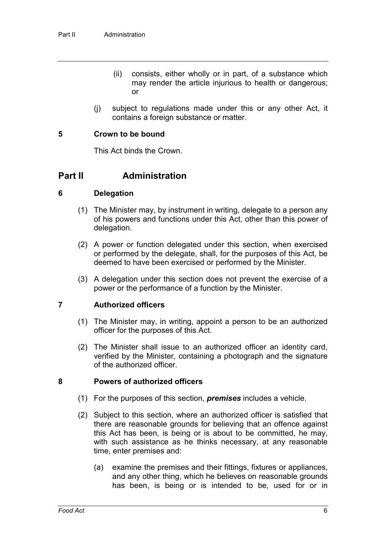- (ii) consists, either wholly or in part, of a substance which may render the article injurious to health or dangerous; or
- (j) subject to regulations made under this or any other Act, it contains a foreign substance or matter.

#### **5 Crown to be bound**

This Act binds the Crown.

### **Part II Administration**

#### **6 Delegation**

- (1) The Minister may, by instrument in writing, delegate to a person any of his powers and functions under this Act, other than this power of delegation.
- (2) A power or function delegated under this section, when exercised or performed by the delegate, shall, for the purposes of this Act, be deemed to have been exercised or performed by the Minister.
- (3) A delegation under this section does not prevent the exercise of a power or the performance of a function by the Minister.

#### **7 Authorized officers**

- (1) The Minister may, in writing, appoint a person to be an authorized officer for the purposes of this Act.
- (2) The Minister shall issue to an authorized officer an identity card, verified by the Minister, containing a photograph and the signature of the authorized officer.

#### **8 Powers of authorized officers**

- (1) For the purposes of this section, *premises* includes a vehicle.
- (2) Subject to this section, where an authorized officer is satisfied that there are reasonable grounds for believing that an offence against this Act has been, is being or is about to be committed, he may, with such assistance as he thinks necessary, at any reasonable time, enter premises and:
	- (a) examine the premises and their fittings, fixtures or appliances, and any other thing, which he believes on reasonable grounds has been, is being or is intended to be, used for or in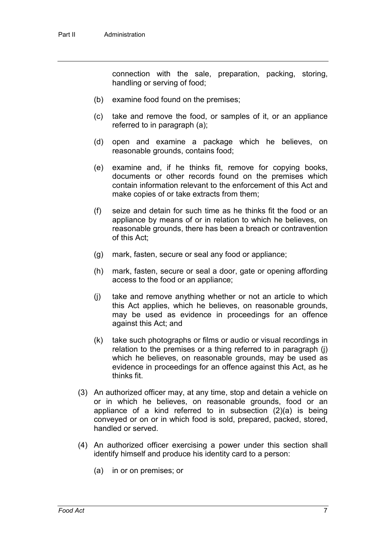connection with the sale, preparation, packing, storing, handling or serving of food;

- (b) examine food found on the premises;
- (c) take and remove the food, or samples of it, or an appliance referred to in paragraph (a);
- (d) open and examine a package which he believes, on reasonable grounds, contains food;
- (e) examine and, if he thinks fit, remove for copying books, documents or other records found on the premises which contain information relevant to the enforcement of this Act and make copies of or take extracts from them;
- (f) seize and detain for such time as he thinks fit the food or an appliance by means of or in relation to which he believes, on reasonable grounds, there has been a breach or contravention of this Act;
- (g) mark, fasten, secure or seal any food or appliance;
- (h) mark, fasten, secure or seal a door, gate or opening affording access to the food or an appliance;
- (j) take and remove anything whether or not an article to which this Act applies, which he believes, on reasonable grounds, may be used as evidence in proceedings for an offence against this Act; and
- (k) take such photographs or films or audio or visual recordings in relation to the premises or a thing referred to in paragraph (j) which he believes, on reasonable grounds, may be used as evidence in proceedings for an offence against this Act, as he thinks fit.
- (3) An authorized officer may, at any time, stop and detain a vehicle on or in which he believes, on reasonable grounds, food or an appliance of a kind referred to in subsection (2)(a) is being conveyed or on or in which food is sold, prepared, packed, stored, handled or served.
- (4) An authorized officer exercising a power under this section shall identify himself and produce his identity card to a person:
	- (a) in or on premises; or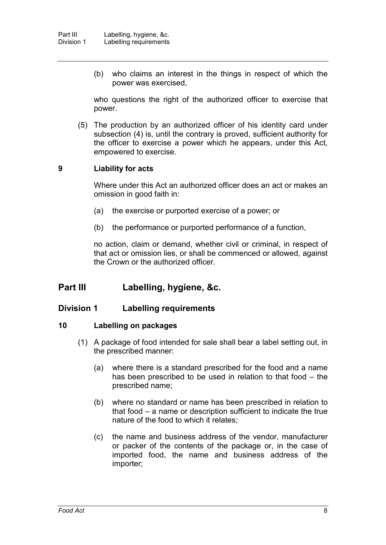(b) who claims an interest in the things in respect of which the power was exercised,

who questions the right of the authorized officer to exercise that power.

(5) The production by an authorized officer of his identity card under subsection (4) is, until the contrary is proved, sufficient authority for the officer to exercise a power which he appears, under this Act, empowered to exercise.

### **9 Liability for acts**

Where under this Act an authorized officer does an act or makes an omission in good faith in:

- (a) the exercise or purported exercise of a power; or
- (b) the performance or purported performance of a function,

no action, claim or demand, whether civil or criminal, in respect of that act or omission lies, or shall be commenced or allowed, against the Crown or the authorized officer.

## **Part III Labelling, hygiene, &c.**

### **Division 1 Labelling requirements**

#### **10 Labelling on packages**

- (1) A package of food intended for sale shall bear a label setting out, in the prescribed manner:
	- (a) where there is a standard prescribed for the food and a name has been prescribed to be used in relation to that food – the prescribed name;
	- (b) where no standard or name has been prescribed in relation to that food – a name or description sufficient to indicate the true nature of the food to which it relates;
	- (c) the name and business address of the vendor, manufacturer or packer of the contents of the package or, in the case of imported food, the name and business address of the importer;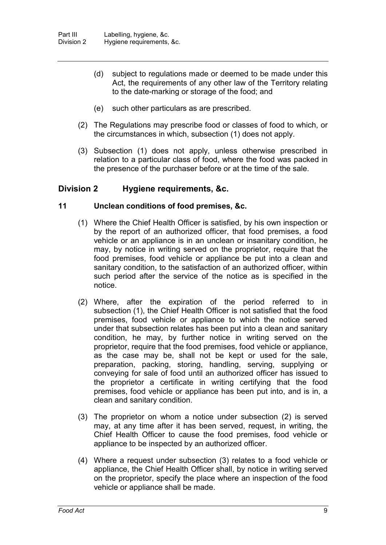- (d) subject to regulations made or deemed to be made under this Act, the requirements of any other law of the Territory relating to the date-marking or storage of the food; and
- (e) such other particulars as are prescribed.
- (2) The Regulations may prescribe food or classes of food to which, or the circumstances in which, subsection (1) does not apply.
- (3) Subsection (1) does not apply, unless otherwise prescribed in relation to a particular class of food, where the food was packed in the presence of the purchaser before or at the time of the sale.

### **Division 2 Hygiene requirements, &c.**

#### **11 Unclean conditions of food premises, &c.**

- (1) Where the Chief Health Officer is satisfied, by his own inspection or by the report of an authorized officer, that food premises, a food vehicle or an appliance is in an unclean or insanitary condition, he may, by notice in writing served on the proprietor, require that the food premises, food vehicle or appliance be put into a clean and sanitary condition, to the satisfaction of an authorized officer, within such period after the service of the notice as is specified in the notice.
- (2) Where, after the expiration of the period referred to in subsection (1), the Chief Health Officer is not satisfied that the food premises, food vehicle or appliance to which the notice served under that subsection relates has been put into a clean and sanitary condition, he may, by further notice in writing served on the proprietor, require that the food premises, food vehicle or appliance, as the case may be, shall not be kept or used for the sale, preparation, packing, storing, handling, serving, supplying or conveying for sale of food until an authorized officer has issued to the proprietor a certificate in writing certifying that the food premises, food vehicle or appliance has been put into, and is in, a clean and sanitary condition.
- (3) The proprietor on whom a notice under subsection (2) is served may, at any time after it has been served, request, in writing, the Chief Health Officer to cause the food premises, food vehicle or appliance to be inspected by an authorized officer.
- (4) Where a request under subsection (3) relates to a food vehicle or appliance, the Chief Health Officer shall, by notice in writing served on the proprietor, specify the place where an inspection of the food vehicle or appliance shall be made.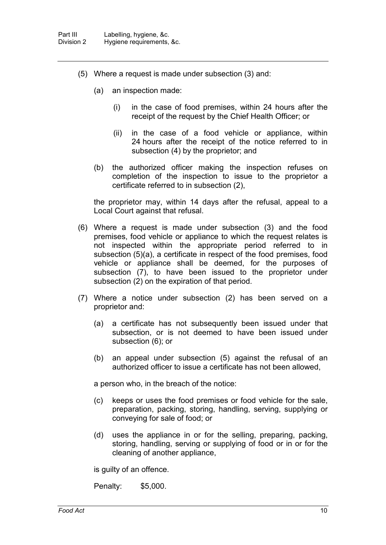- (5) Where a request is made under subsection (3) and:
	- (a) an inspection made:
		- (i) in the case of food premises, within 24 hours after the receipt of the request by the Chief Health Officer; or
		- (ii) in the case of a food vehicle or appliance, within 24 hours after the receipt of the notice referred to in subsection (4) by the proprietor; and
	- (b) the authorized officer making the inspection refuses on completion of the inspection to issue to the proprietor a certificate referred to in subsection (2),

the proprietor may, within 14 days after the refusal, appeal to a Local Court against that refusal.

- (6) Where a request is made under subsection (3) and the food premises, food vehicle or appliance to which the request relates is not inspected within the appropriate period referred to in subsection (5)(a), a certificate in respect of the food premises, food vehicle or appliance shall be deemed, for the purposes of subsection (7), to have been issued to the proprietor under subsection (2) on the expiration of that period.
- (7) Where a notice under subsection (2) has been served on a proprietor and:
	- (a) a certificate has not subsequently been issued under that subsection, or is not deemed to have been issued under subsection (6); or
	- (b) an appeal under subsection (5) against the refusal of an authorized officer to issue a certificate has not been allowed,

a person who, in the breach of the notice:

- (c) keeps or uses the food premises or food vehicle for the sale, preparation, packing, storing, handling, serving, supplying or conveying for sale of food; or
- (d) uses the appliance in or for the selling, preparing, packing, storing, handling, serving or supplying of food or in or for the cleaning of another appliance,

is guilty of an offence.

Penalty: \$5,000.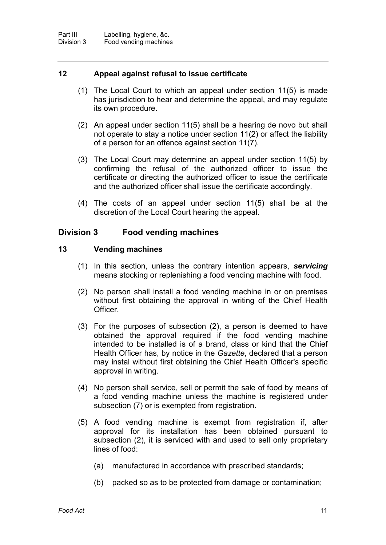### **12 Appeal against refusal to issue certificate**

- (1) The Local Court to which an appeal under section 11(5) is made has jurisdiction to hear and determine the appeal, and may regulate its own procedure.
- (2) An appeal under section 11(5) shall be a hearing de novo but shall not operate to stay a notice under section 11(2) or affect the liability of a person for an offence against section 11(7).
- (3) The Local Court may determine an appeal under section 11(5) by confirming the refusal of the authorized officer to issue the certificate or directing the authorized officer to issue the certificate and the authorized officer shall issue the certificate accordingly.
- (4) The costs of an appeal under section 11(5) shall be at the discretion of the Local Court hearing the appeal.

### **Division 3 Food vending machines**

#### **13 Vending machines**

- (1) In this section, unless the contrary intention appears, *servicing* means stocking or replenishing a food vending machine with food.
- (2) No person shall install a food vending machine in or on premises without first obtaining the approval in writing of the Chief Health Officer.
- (3) For the purposes of subsection (2), a person is deemed to have obtained the approval required if the food vending machine intended to be installed is of a brand, class or kind that the Chief Health Officer has, by notice in the *Gazette*, declared that a person may instal without first obtaining the Chief Health Officer's specific approval in writing.
- (4) No person shall service, sell or permit the sale of food by means of a food vending machine unless the machine is registered under subsection (7) or is exempted from registration.
- (5) A food vending machine is exempt from registration if, after approval for its installation has been obtained pursuant to subsection (2), it is serviced with and used to sell only proprietary lines of food:
	- (a) manufactured in accordance with prescribed standards;
	- (b) packed so as to be protected from damage or contamination;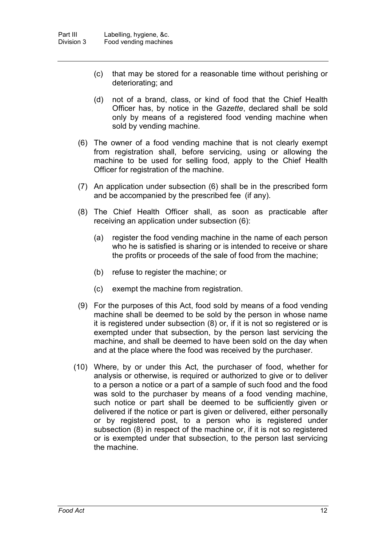- (c) that may be stored for a reasonable time without perishing or deteriorating; and
- (d) not of a brand, class, or kind of food that the Chief Health Officer has, by notice in the *Gazette*, declared shall be sold only by means of a registered food vending machine when sold by vending machine.
- (6) The owner of a food vending machine that is not clearly exempt from registration shall, before servicing, using or allowing the machine to be used for selling food, apply to the Chief Health Officer for registration of the machine.
- (7) An application under subsection (6) shall be in the prescribed form and be accompanied by the prescribed fee (if any).
- (8) The Chief Health Officer shall, as soon as practicable after receiving an application under subsection (6):
	- (a) register the food vending machine in the name of each person who he is satisfied is sharing or is intended to receive or share the profits or proceeds of the sale of food from the machine;
	- (b) refuse to register the machine; or
	- (c) exempt the machine from registration.
- (9) For the purposes of this Act, food sold by means of a food vending machine shall be deemed to be sold by the person in whose name it is registered under subsection (8) or, if it is not so registered or is exempted under that subsection, by the person last servicing the machine, and shall be deemed to have been sold on the day when and at the place where the food was received by the purchaser.
- (10) Where, by or under this Act, the purchaser of food, whether for analysis or otherwise, is required or authorized to give or to deliver to a person a notice or a part of a sample of such food and the food was sold to the purchaser by means of a food vending machine, such notice or part shall be deemed to be sufficiently given or delivered if the notice or part is given or delivered, either personally or by registered post, to a person who is registered under subsection (8) in respect of the machine or, if it is not so registered or is exempted under that subsection, to the person last servicing the machine.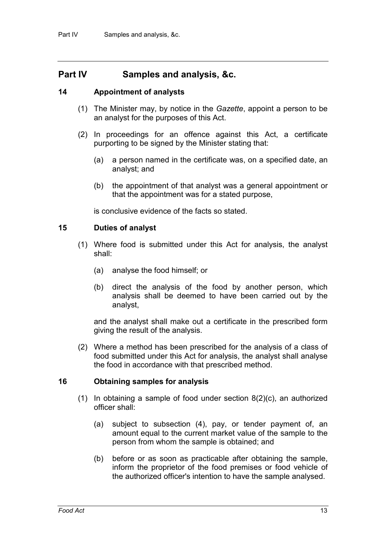## **Part IV Samples and analysis, &c.**

#### **14 Appointment of analysts**

- (1) The Minister may, by notice in the *Gazette*, appoint a person to be an analyst for the purposes of this Act.
- (2) In proceedings for an offence against this Act, a certificate purporting to be signed by the Minister stating that:
	- (a) a person named in the certificate was, on a specified date, an analyst; and
	- (b) the appointment of that analyst was a general appointment or that the appointment was for a stated purpose,

is conclusive evidence of the facts so stated.

#### **15 Duties of analyst**

- (1) Where food is submitted under this Act for analysis, the analyst shall:
	- (a) analyse the food himself; or
	- (b) direct the analysis of the food by another person, which analysis shall be deemed to have been carried out by the analyst,

and the analyst shall make out a certificate in the prescribed form giving the result of the analysis.

(2) Where a method has been prescribed for the analysis of a class of food submitted under this Act for analysis, the analyst shall analyse the food in accordance with that prescribed method.

#### **16 Obtaining samples for analysis**

- (1) In obtaining a sample of food under section 8(2)(c), an authorized officer shall:
	- (a) subject to subsection (4), pay, or tender payment of, an amount equal to the current market value of the sample to the person from whom the sample is obtained; and
	- (b) before or as soon as practicable after obtaining the sample, inform the proprietor of the food premises or food vehicle of the authorized officer's intention to have the sample analysed.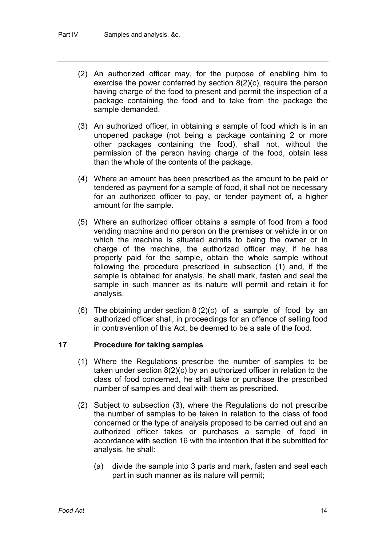- (2) An authorized officer may, for the purpose of enabling him to exercise the power conferred by section 8(2)(c), require the person having charge of the food to present and permit the inspection of a package containing the food and to take from the package the sample demanded.
- (3) An authorized officer, in obtaining a sample of food which is in an unopened package (not being a package containing 2 or more other packages containing the food), shall not, without the permission of the person having charge of the food, obtain less than the whole of the contents of the package.
- (4) Where an amount has been prescribed as the amount to be paid or tendered as payment for a sample of food, it shall not be necessary for an authorized officer to pay, or tender payment of, a higher amount for the sample.
- (5) Where an authorized officer obtains a sample of food from a food vending machine and no person on the premises or vehicle in or on which the machine is situated admits to being the owner or in charge of the machine, the authorized officer may, if he has properly paid for the sample, obtain the whole sample without following the procedure prescribed in subsection (1) and, if the sample is obtained for analysis, he shall mark, fasten and seal the sample in such manner as its nature will permit and retain it for analysis.
- (6) The obtaining under section 8 (2)(c) of a sample of food by an authorized officer shall, in proceedings for an offence of selling food in contravention of this Act, be deemed to be a sale of the food.

### **17 Procedure for taking samples**

- (1) Where the Regulations prescribe the number of samples to be taken under section 8(2)(c) by an authorized officer in relation to the class of food concerned, he shall take or purchase the prescribed number of samples and deal with them as prescribed.
- (2) Subject to subsection (3), where the Regulations do not prescribe the number of samples to be taken in relation to the class of food concerned or the type of analysis proposed to be carried out and an authorized officer takes or purchases a sample of food in accordance with section 16 with the intention that it be submitted for analysis, he shall:
	- (a) divide the sample into 3 parts and mark, fasten and seal each part in such manner as its nature will permit;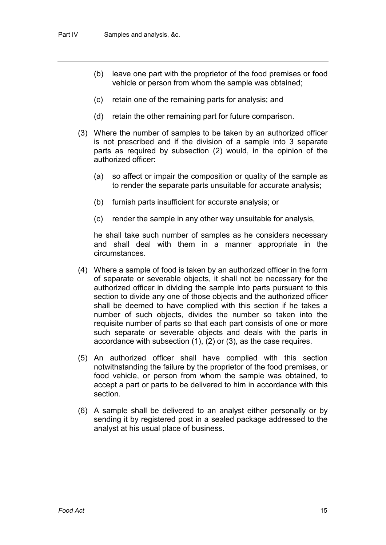- (b) leave one part with the proprietor of the food premises or food vehicle or person from whom the sample was obtained;
- (c) retain one of the remaining parts for analysis; and
- (d) retain the other remaining part for future comparison.
- (3) Where the number of samples to be taken by an authorized officer is not prescribed and if the division of a sample into 3 separate parts as required by subsection (2) would, in the opinion of the authorized officer:
	- (a) so affect or impair the composition or quality of the sample as to render the separate parts unsuitable for accurate analysis;
	- (b) furnish parts insufficient for accurate analysis; or
	- (c) render the sample in any other way unsuitable for analysis,

he shall take such number of samples as he considers necessary and shall deal with them in a manner appropriate in the circumstances.

- (4) Where a sample of food is taken by an authorized officer in the form of separate or severable objects, it shall not be necessary for the authorized officer in dividing the sample into parts pursuant to this section to divide any one of those objects and the authorized officer shall be deemed to have complied with this section if he takes a number of such objects, divides the number so taken into the requisite number of parts so that each part consists of one or more such separate or severable objects and deals with the parts in accordance with subsection (1), (2) or (3), as the case requires.
- (5) An authorized officer shall have complied with this section notwithstanding the failure by the proprietor of the food premises, or food vehicle, or person from whom the sample was obtained, to accept a part or parts to be delivered to him in accordance with this section.
- (6) A sample shall be delivered to an analyst either personally or by sending it by registered post in a sealed package addressed to the analyst at his usual place of business.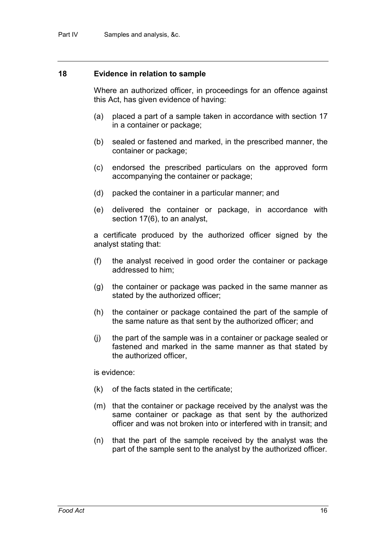#### **18 Evidence in relation to sample**

Where an authorized officer, in proceedings for an offence against this Act, has given evidence of having:

- (a) placed a part of a sample taken in accordance with section 17 in a container or package;
- (b) sealed or fastened and marked, in the prescribed manner, the container or package;
- (c) endorsed the prescribed particulars on the approved form accompanying the container or package;
- (d) packed the container in a particular manner; and
- (e) delivered the container or package, in accordance with section 17(6), to an analyst,

a certificate produced by the authorized officer signed by the analyst stating that:

- (f) the analyst received in good order the container or package addressed to him;
- (g) the container or package was packed in the same manner as stated by the authorized officer;
- (h) the container or package contained the part of the sample of the same nature as that sent by the authorized officer; and
- (j) the part of the sample was in a container or package sealed or fastened and marked in the same manner as that stated by the authorized officer,

is evidence:

- (k) of the facts stated in the certificate;
- (m) that the container or package received by the analyst was the same container or package as that sent by the authorized officer and was not broken into or interfered with in transit; and
- (n) that the part of the sample received by the analyst was the part of the sample sent to the analyst by the authorized officer.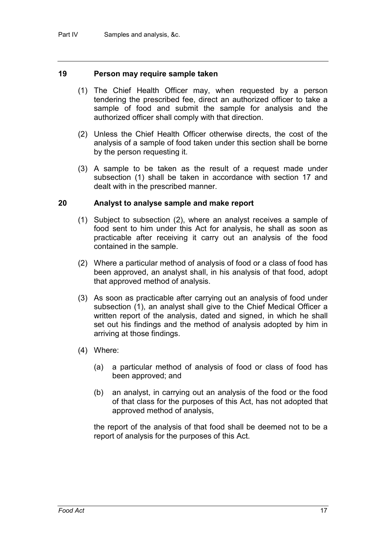#### **19 Person may require sample taken**

- (1) The Chief Health Officer may, when requested by a person tendering the prescribed fee, direct an authorized officer to take a sample of food and submit the sample for analysis and the authorized officer shall comply with that direction.
- (2) Unless the Chief Health Officer otherwise directs, the cost of the analysis of a sample of food taken under this section shall be borne by the person requesting it.
- (3) A sample to be taken as the result of a request made under subsection (1) shall be taken in accordance with section 17 and dealt with in the prescribed manner.

#### **20 Analyst to analyse sample and make report**

- (1) Subject to subsection (2), where an analyst receives a sample of food sent to him under this Act for analysis, he shall as soon as practicable after receiving it carry out an analysis of the food contained in the sample.
- (2) Where a particular method of analysis of food or a class of food has been approved, an analyst shall, in his analysis of that food, adopt that approved method of analysis.
- (3) As soon as practicable after carrying out an analysis of food under subsection (1), an analyst shall give to the Chief Medical Officer a written report of the analysis, dated and signed, in which he shall set out his findings and the method of analysis adopted by him in arriving at those findings.
- (4) Where:
	- (a) a particular method of analysis of food or class of food has been approved; and
	- (b) an analyst, in carrying out an analysis of the food or the food of that class for the purposes of this Act, has not adopted that approved method of analysis,

the report of the analysis of that food shall be deemed not to be a report of analysis for the purposes of this Act.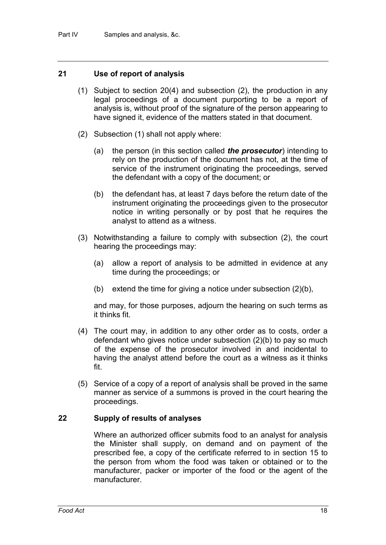#### **21 Use of report of analysis**

- (1) Subject to section 20(4) and subsection (2), the production in any legal proceedings of a document purporting to be a report of analysis is, without proof of the signature of the person appearing to have signed it, evidence of the matters stated in that document.
- (2) Subsection (1) shall not apply where:
	- (a) the person (in this section called *the prosecutor*) intending to rely on the production of the document has not, at the time of service of the instrument originating the proceedings, served the defendant with a copy of the document; or
	- (b) the defendant has, at least 7 days before the return date of the instrument originating the proceedings given to the prosecutor notice in writing personally or by post that he requires the analyst to attend as a witness.
- (3) Notwithstanding a failure to comply with subsection (2), the court hearing the proceedings may:
	- (a) allow a report of analysis to be admitted in evidence at any time during the proceedings; or
	- (b) extend the time for giving a notice under subsection  $(2)(b)$ ,

and may, for those purposes, adjourn the hearing on such terms as it thinks fit.

- (4) The court may, in addition to any other order as to costs, order a defendant who gives notice under subsection (2)(b) to pay so much of the expense of the prosecutor involved in and incidental to having the analyst attend before the court as a witness as it thinks fit.
- (5) Service of a copy of a report of analysis shall be proved in the same manner as service of a summons is proved in the court hearing the proceedings.

#### **22 Supply of results of analyses**

Where an authorized officer submits food to an analyst for analysis the Minister shall supply, on demand and on payment of the prescribed fee, a copy of the certificate referred to in section 15 to the person from whom the food was taken or obtained or to the manufacturer, packer or importer of the food or the agent of the manufacturer.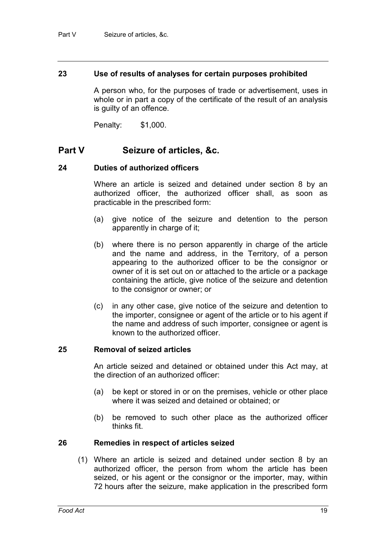#### **23 Use of results of analyses for certain purposes prohibited**

A person who, for the purposes of trade or advertisement, uses in whole or in part a copy of the certificate of the result of an analysis is guilty of an offence.

Penalty: \$1,000.

## **Part V Seizure of articles, &c.**

#### **24 Duties of authorized officers**

Where an article is seized and detained under section 8 by an authorized officer, the authorized officer shall, as soon as practicable in the prescribed form:

- (a) give notice of the seizure and detention to the person apparently in charge of it;
- (b) where there is no person apparently in charge of the article and the name and address, in the Territory, of a person appearing to the authorized officer to be the consignor or owner of it is set out on or attached to the article or a package containing the article, give notice of the seizure and detention to the consignor or owner; or
- (c) in any other case, give notice of the seizure and detention to the importer, consignee or agent of the article or to his agent if the name and address of such importer, consignee or agent is known to the authorized officer.

#### **25 Removal of seized articles**

An article seized and detained or obtained under this Act may, at the direction of an authorized officer:

- (a) be kept or stored in or on the premises, vehicle or other place where it was seized and detained or obtained; or
- (b) be removed to such other place as the authorized officer thinks fit.

#### **26 Remedies in respect of articles seized**

(1) Where an article is seized and detained under section 8 by an authorized officer, the person from whom the article has been seized, or his agent or the consignor or the importer, may, within 72 hours after the seizure, make application in the prescribed form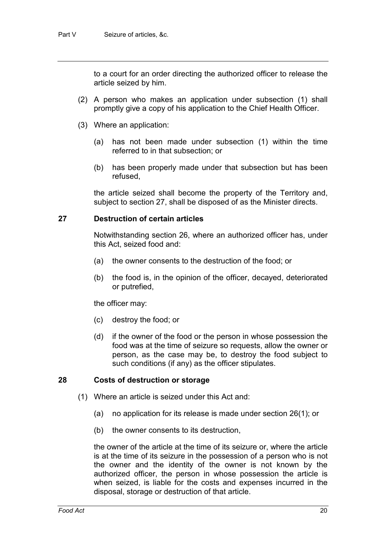to a court for an order directing the authorized officer to release the article seized by him.

- (2) A person who makes an application under subsection (1) shall promptly give a copy of his application to the Chief Health Officer.
- (3) Where an application:
	- (a) has not been made under subsection (1) within the time referred to in that subsection; or
	- (b) has been properly made under that subsection but has been refused,

the article seized shall become the property of the Territory and, subject to section 27, shall be disposed of as the Minister directs.

#### **27 Destruction of certain articles**

Notwithstanding section 26, where an authorized officer has, under this Act, seized food and:

- (a) the owner consents to the destruction of the food; or
- (b) the food is, in the opinion of the officer, decayed, deteriorated or putrefied,

the officer may:

- (c) destroy the food; or
- (d) if the owner of the food or the person in whose possession the food was at the time of seizure so requests, allow the owner or person, as the case may be, to destroy the food subject to such conditions (if any) as the officer stipulates.

#### **28 Costs of destruction or storage**

- (1) Where an article is seized under this Act and:
	- (a) no application for its release is made under section 26(1); or
	- (b) the owner consents to its destruction,

the owner of the article at the time of its seizure or, where the article is at the time of its seizure in the possession of a person who is not the owner and the identity of the owner is not known by the authorized officer, the person in whose possession the article is when seized, is liable for the costs and expenses incurred in the disposal, storage or destruction of that article.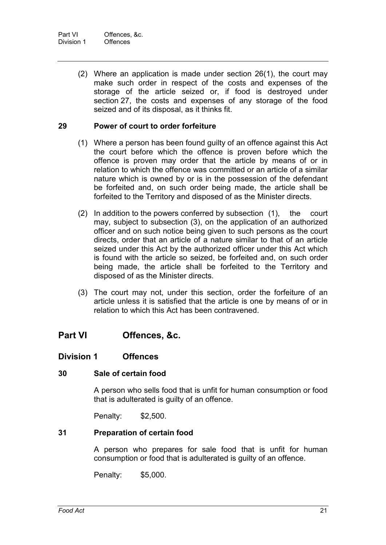(2) Where an application is made under section 26(1), the court may make such order in respect of the costs and expenses of the storage of the article seized or, if food is destroyed under section 27, the costs and expenses of any storage of the food seized and of its disposal, as it thinks fit.

#### **29 Power of court to order forfeiture**

- (1) Where a person has been found guilty of an offence against this Act the court before which the offence is proven before which the offence is proven may order that the article by means of or in relation to which the offence was committed or an article of a similar nature which is owned by or is in the possession of the defendant be forfeited and, on such order being made, the article shall be forfeited to the Territory and disposed of as the Minister directs.
- (2) In addition to the powers conferred by subsection (1), the court may, subject to subsection (3), on the application of an authorized officer and on such notice being given to such persons as the court directs, order that an article of a nature similar to that of an article seized under this Act by the authorized officer under this Act which is found with the article so seized, be forfeited and, on such order being made, the article shall be forfeited to the Territory and disposed of as the Minister directs.
- (3) The court may not, under this section, order the forfeiture of an article unless it is satisfied that the article is one by means of or in relation to which this Act has been contravened.

## **Part VI Offences, &c.**

### **Division 1 Offences**

### **30 Sale of certain food**

A person who sells food that is unfit for human consumption or food that is adulterated is guilty of an offence.

Penalty: \$2,500.

#### **31 Preparation of certain food**

A person who prepares for sale food that is unfit for human consumption or food that is adulterated is guilty of an offence.

Penalty: \$5,000.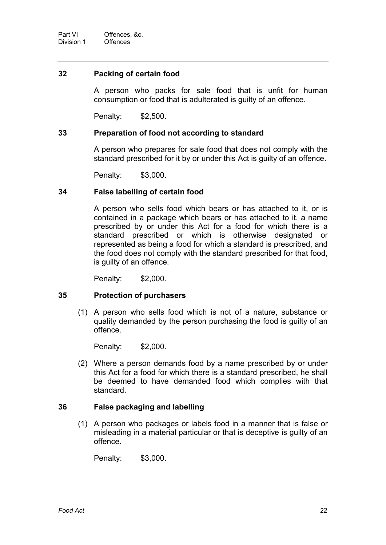#### **32 Packing of certain food**

A person who packs for sale food that is unfit for human consumption or food that is adulterated is guilty of an offence.

Penalty: \$2,500.

#### **33 Preparation of food not according to standard**

A person who prepares for sale food that does not comply with the standard prescribed for it by or under this Act is guilty of an offence.

Penalty: \$3,000.

#### **34 False labelling of certain food**

A person who sells food which bears or has attached to it, or is contained in a package which bears or has attached to it, a name prescribed by or under this Act for a food for which there is a standard prescribed or which is otherwise designated or represented as being a food for which a standard is prescribed, and the food does not comply with the standard prescribed for that food, is guilty of an offence.

Penalty: \$2,000.

#### **35 Protection of purchasers**

(1) A person who sells food which is not of a nature, substance or quality demanded by the person purchasing the food is guilty of an offence.

Penalty: \$2,000.

(2) Where a person demands food by a name prescribed by or under this Act for a food for which there is a standard prescribed, he shall be deemed to have demanded food which complies with that standard.

### **36 False packaging and labelling**

(1) A person who packages or labels food in a manner that is false or misleading in a material particular or that is deceptive is guilty of an offence.

Penalty: \$3,000.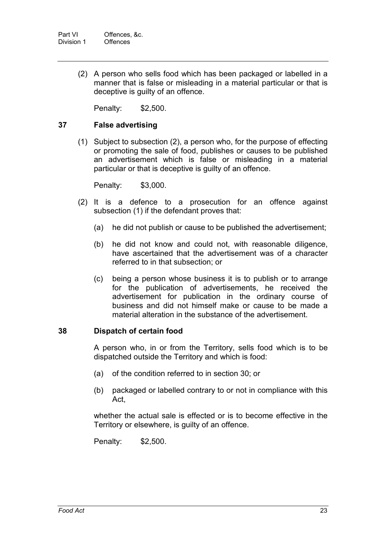(2) A person who sells food which has been packaged or labelled in a manner that is false or misleading in a material particular or that is deceptive is guilty of an offence.

Penalty: \$2,500.

### **37 False advertising**

(1) Subject to subsection (2), a person who, for the purpose of effecting or promoting the sale of food, publishes or causes to be published an advertisement which is false or misleading in a material particular or that is deceptive is guilty of an offence.

Penalty: \$3,000.

- (2) It is a defence to a prosecution for an offence against subsection (1) if the defendant proves that:
	- (a) he did not publish or cause to be published the advertisement;
	- (b) he did not know and could not, with reasonable diligence, have ascertained that the advertisement was of a character referred to in that subsection; or
	- (c) being a person whose business it is to publish or to arrange for the publication of advertisements, he received the advertisement for publication in the ordinary course of business and did not himself make or cause to be made a material alteration in the substance of the advertisement.

#### **38 Dispatch of certain food**

A person who, in or from the Territory, sells food which is to be dispatched outside the Territory and which is food:

- (a) of the condition referred to in section 30; or
- (b) packaged or labelled contrary to or not in compliance with this Act,

whether the actual sale is effected or is to become effective in the Territory or elsewhere, is guilty of an offence.

Penalty: \$2,500.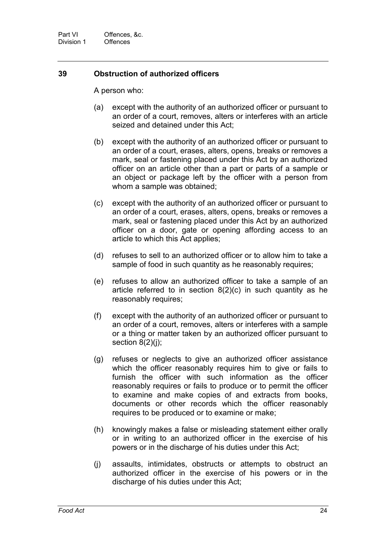### **39 Obstruction of authorized officers**

A person who:

- (a) except with the authority of an authorized officer or pursuant to an order of a court, removes, alters or interferes with an article seized and detained under this Act;
- (b) except with the authority of an authorized officer or pursuant to an order of a court, erases, alters, opens, breaks or removes a mark, seal or fastening placed under this Act by an authorized officer on an article other than a part or parts of a sample or an object or package left by the officer with a person from whom a sample was obtained;
- (c) except with the authority of an authorized officer or pursuant to an order of a court, erases, alters, opens, breaks or removes a mark, seal or fastening placed under this Act by an authorized officer on a door, gate or opening affording access to an article to which this Act applies;
- (d) refuses to sell to an authorized officer or to allow him to take a sample of food in such quantity as he reasonably requires;
- (e) refuses to allow an authorized officer to take a sample of an article referred to in section 8(2)(c) in such quantity as he reasonably requires;
- (f) except with the authority of an authorized officer or pursuant to an order of a court, removes, alters or interferes with a sample or a thing or matter taken by an authorized officer pursuant to section  $8(2)(j)$ ;
- (g) refuses or neglects to give an authorized officer assistance which the officer reasonably requires him to give or fails to furnish the officer with such information as the officer reasonably requires or fails to produce or to permit the officer to examine and make copies of and extracts from books, documents or other records which the officer reasonably requires to be produced or to examine or make;
- (h) knowingly makes a false or misleading statement either orally or in writing to an authorized officer in the exercise of his powers or in the discharge of his duties under this Act;
- (j) assaults, intimidates, obstructs or attempts to obstruct an authorized officer in the exercise of his powers or in the discharge of his duties under this Act;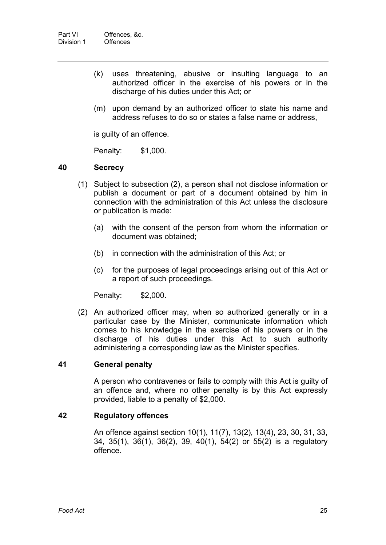- (k) uses threatening, abusive or insulting language to an authorized officer in the exercise of his powers or in the discharge of his duties under this Act; or
- (m) upon demand by an authorized officer to state his name and address refuses to do so or states a false name or address,

is guilty of an offence.

Penalty: \$1,000.

#### **40 Secrecy**

- (1) Subject to subsection (2), a person shall not disclose information or publish a document or part of a document obtained by him in connection with the administration of this Act unless the disclosure or publication is made:
	- (a) with the consent of the person from whom the information or document was obtained;
	- (b) in connection with the administration of this Act; or
	- (c) for the purposes of legal proceedings arising out of this Act or a report of such proceedings.

Penalty: \$2,000.

(2) An authorized officer may, when so authorized generally or in a particular case by the Minister, communicate information which comes to his knowledge in the exercise of his powers or in the discharge of his duties under this Act to such authority administering a corresponding law as the Minister specifies.

### **41 General penalty**

A person who contravenes or fails to comply with this Act is guilty of an offence and, where no other penalty is by this Act expressly provided, liable to a penalty of \$2,000.

#### **42 Regulatory offences**

An offence against section 10(1), 11(7), 13(2), 13(4), 23, 30, 31, 33, 34, 35(1), 36(1), 36(2), 39, 40(1), 54(2) or 55(2) is a regulatory offence.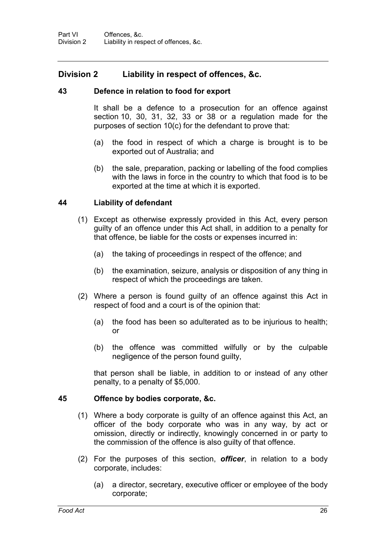### **Division 2 Liability in respect of offences, &c.**

#### **43 Defence in relation to food for export**

It shall be a defence to a prosecution for an offence against section 10, 30, 31, 32, 33 or 38 or a regulation made for the purposes of section 10(c) for the defendant to prove that:

- (a) the food in respect of which a charge is brought is to be exported out of Australia; and
- (b) the sale, preparation, packing or labelling of the food complies with the laws in force in the country to which that food is to be exported at the time at which it is exported.

### **44 Liability of defendant**

- (1) Except as otherwise expressly provided in this Act, every person guilty of an offence under this Act shall, in addition to a penalty for that offence, be liable for the costs or expenses incurred in:
	- (a) the taking of proceedings in respect of the offence; and
	- (b) the examination, seizure, analysis or disposition of any thing in respect of which the proceedings are taken.
- (2) Where a person is found guilty of an offence against this Act in respect of food and a court is of the opinion that:
	- (a) the food has been so adulterated as to be injurious to health; or
	- (b) the offence was committed wilfully or by the culpable negligence of the person found guilty,

that person shall be liable, in addition to or instead of any other penalty, to a penalty of \$5,000.

#### **45 Offence by bodies corporate, &c.**

- (1) Where a body corporate is guilty of an offence against this Act, an officer of the body corporate who was in any way, by act or omission, directly or indirectly, knowingly concerned in or party to the commission of the offence is also guilty of that offence.
- (2) For the purposes of this section, *officer*, in relation to a body corporate, includes:
	- (a) a director, secretary, executive officer or employee of the body corporate;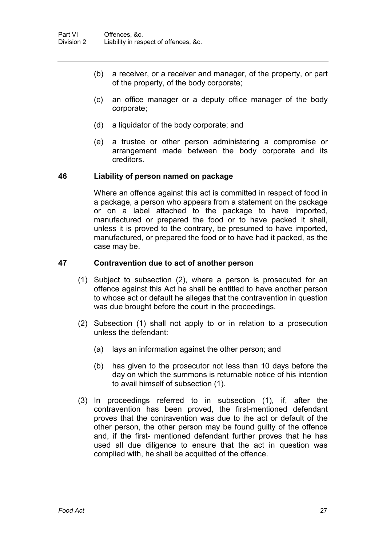- (b) a receiver, or a receiver and manager, of the property, or part of the property, of the body corporate;
- (c) an office manager or a deputy office manager of the body corporate;
- (d) a liquidator of the body corporate; and
- (e) a trustee or other person administering a compromise or arrangement made between the body corporate and its creditors.

#### **46 Liability of person named on package**

Where an offence against this act is committed in respect of food in a package, a person who appears from a statement on the package or on a label attached to the package to have imported, manufactured or prepared the food or to have packed it shall, unless it is proved to the contrary, be presumed to have imported, manufactured, or prepared the food or to have had it packed, as the case may be.

#### **47 Contravention due to act of another person**

- (1) Subject to subsection (2), where a person is prosecuted for an offence against this Act he shall be entitled to have another person to whose act or default he alleges that the contravention in question was due brought before the court in the proceedings.
- (2) Subsection (1) shall not apply to or in relation to a prosecution unless the defendant:
	- (a) lays an information against the other person; and
	- (b) has given to the prosecutor not less than 10 days before the day on which the summons is returnable notice of his intention to avail himself of subsection (1).
- (3) In proceedings referred to in subsection (1), if, after the contravention has been proved, the first-mentioned defendant proves that the contravention was due to the act or default of the other person, the other person may be found guilty of the offence and, if the first- mentioned defendant further proves that he has used all due diligence to ensure that the act in question was complied with, he shall be acquitted of the offence.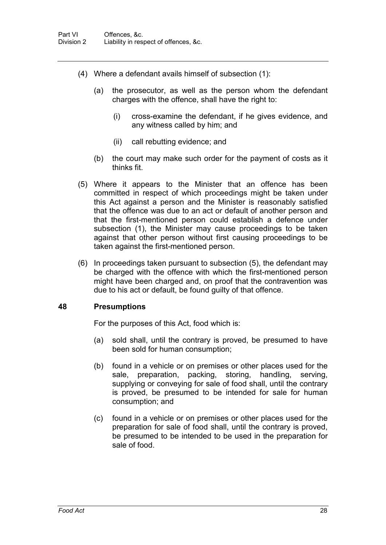- (4) Where a defendant avails himself of subsection (1):
	- (a) the prosecutor, as well as the person whom the defendant charges with the offence, shall have the right to:
		- (i) cross-examine the defendant, if he gives evidence, and any witness called by him; and
		- (ii) call rebutting evidence; and
	- (b) the court may make such order for the payment of costs as it thinks fit.
- (5) Where it appears to the Minister that an offence has been committed in respect of which proceedings might be taken under this Act against a person and the Minister is reasonably satisfied that the offence was due to an act or default of another person and that the first-mentioned person could establish a defence under subsection (1), the Minister may cause proceedings to be taken against that other person without first causing proceedings to be taken against the first-mentioned person.
- (6) In proceedings taken pursuant to subsection (5), the defendant may be charged with the offence with which the first-mentioned person might have been charged and, on proof that the contravention was due to his act or default, be found guilty of that offence.

#### **48 Presumptions**

For the purposes of this Act, food which is:

- (a) sold shall, until the contrary is proved, be presumed to have been sold for human consumption;
- (b) found in a vehicle or on premises or other places used for the sale, preparation, packing, storing, handling, serving, supplying or conveying for sale of food shall, until the contrary is proved, be presumed to be intended for sale for human consumption; and
- (c) found in a vehicle or on premises or other places used for the preparation for sale of food shall, until the contrary is proved, be presumed to be intended to be used in the preparation for sale of food.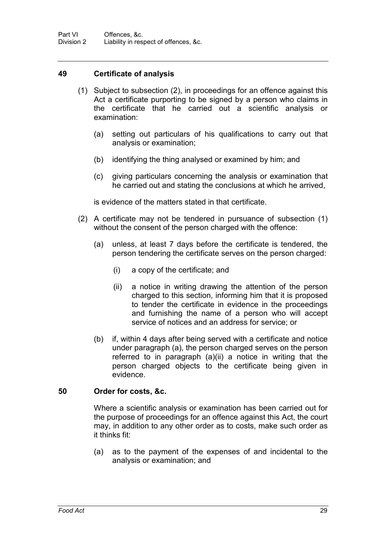Part VI Offences, &c.<br>Division 2 Liability in result Liability in respect of offences, &c.

#### **49 Certificate of analysis**

- (1) Subject to subsection (2), in proceedings for an offence against this Act a certificate purporting to be signed by a person who claims in the certificate that he carried out a scientific analysis or examination:
	- (a) setting out particulars of his qualifications to carry out that analysis or examination;
	- (b) identifying the thing analysed or examined by him; and
	- (c) giving particulars concerning the analysis or examination that he carried out and stating the conclusions at which he arrived,

is evidence of the matters stated in that certificate.

- (2) A certificate may not be tendered in pursuance of subsection (1) without the consent of the person charged with the offence:
	- (a) unless, at least 7 days before the certificate is tendered, the person tendering the certificate serves on the person charged:
		- (i) a copy of the certificate; and
		- (ii) a notice in writing drawing the attention of the person charged to this section, informing him that it is proposed to tender the certificate in evidence in the proceedings and furnishing the name of a person who will accept service of notices and an address for service; or
	- (b) if, within 4 days after being served with a certificate and notice under paragraph (a), the person charged serves on the person referred to in paragraph (a)(ii) a notice in writing that the person charged objects to the certificate being given in evidence.

#### **50 Order for costs, &c.**

Where a scientific analysis or examination has been carried out for the purpose of proceedings for an offence against this Act, the court may, in addition to any other order as to costs, make such order as it thinks fit:

(a) as to the payment of the expenses of and incidental to the analysis or examination; and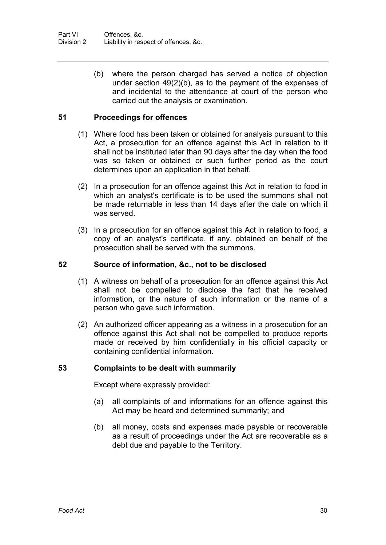(b) where the person charged has served a notice of objection under section 49(2)(b), as to the payment of the expenses of and incidental to the attendance at court of the person who carried out the analysis or examination.

#### **51 Proceedings for offences**

- (1) Where food has been taken or obtained for analysis pursuant to this Act, a prosecution for an offence against this Act in relation to it shall not be instituted later than 90 days after the day when the food was so taken or obtained or such further period as the court determines upon an application in that behalf.
- (2) In a prosecution for an offence against this Act in relation to food in which an analyst's certificate is to be used the summons shall not be made returnable in less than 14 days after the date on which it was served.
- (3) In a prosecution for an offence against this Act in relation to food, a copy of an analyst's certificate, if any, obtained on behalf of the prosecution shall be served with the summons.

#### **52 Source of information, &c., not to be disclosed**

- (1) A witness on behalf of a prosecution for an offence against this Act shall not be compelled to disclose the fact that he received information, or the nature of such information or the name of a person who gave such information.
- (2) An authorized officer appearing as a witness in a prosecution for an offence against this Act shall not be compelled to produce reports made or received by him confidentially in his official capacity or containing confidential information.

#### **53 Complaints to be dealt with summarily**

Except where expressly provided:

- (a) all complaints of and informations for an offence against this Act may be heard and determined summarily; and
- (b) all money, costs and expenses made payable or recoverable as a result of proceedings under the Act are recoverable as a debt due and payable to the Territory.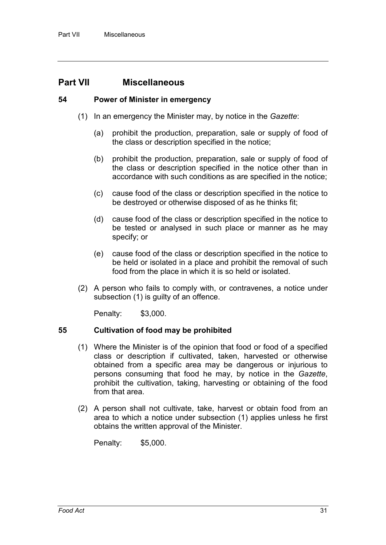## **Part VII Miscellaneous**

#### **54 Power of Minister in emergency**

- (1) In an emergency the Minister may, by notice in the *Gazette*:
	- (a) prohibit the production, preparation, sale or supply of food of the class or description specified in the notice;
	- (b) prohibit the production, preparation, sale or supply of food of the class or description specified in the notice other than in accordance with such conditions as are specified in the notice;
	- (c) cause food of the class or description specified in the notice to be destroyed or otherwise disposed of as he thinks fit;
	- (d) cause food of the class or description specified in the notice to be tested or analysed in such place or manner as he may specify; or
	- (e) cause food of the class or description specified in the notice to be held or isolated in a place and prohibit the removal of such food from the place in which it is so held or isolated.
- (2) A person who fails to comply with, or contravenes, a notice under subsection (1) is guilty of an offence.

Penalty: \$3,000.

#### **55 Cultivation of food may be prohibited**

- (1) Where the Minister is of the opinion that food or food of a specified class or description if cultivated, taken, harvested or otherwise obtained from a specific area may be dangerous or injurious to persons consuming that food he may, by notice in the *Gazette*, prohibit the cultivation, taking, harvesting or obtaining of the food from that area.
- (2) A person shall not cultivate, take, harvest or obtain food from an area to which a notice under subsection (1) applies unless he first obtains the written approval of the Minister.

Penalty: \$5,000.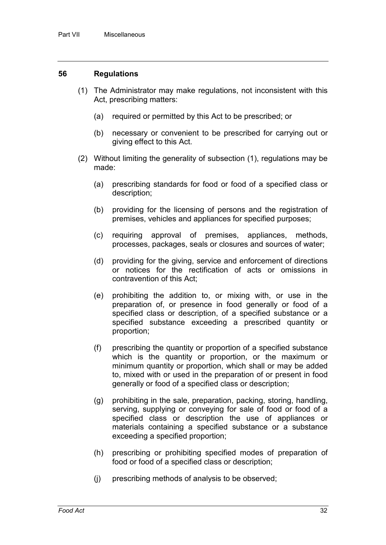#### **56 Regulations**

- (1) The Administrator may make regulations, not inconsistent with this Act, prescribing matters:
	- (a) required or permitted by this Act to be prescribed; or
	- (b) necessary or convenient to be prescribed for carrying out or giving effect to this Act.
- (2) Without limiting the generality of subsection (1), regulations may be made:
	- (a) prescribing standards for food or food of a specified class or description;
	- (b) providing for the licensing of persons and the registration of premises, vehicles and appliances for specified purposes;
	- (c) requiring approval of premises, appliances, methods, processes, packages, seals or closures and sources of water;
	- (d) providing for the giving, service and enforcement of directions or notices for the rectification of acts or omissions in contravention of this Act;
	- (e) prohibiting the addition to, or mixing with, or use in the preparation of, or presence in food generally or food of a specified class or description, of a specified substance or a specified substance exceeding a prescribed quantity or proportion;
	- (f) prescribing the quantity or proportion of a specified substance which is the quantity or proportion, or the maximum or minimum quantity or proportion, which shall or may be added to, mixed with or used in the preparation of or present in food generally or food of a specified class or description;
	- (g) prohibiting in the sale, preparation, packing, storing, handling, serving, supplying or conveying for sale of food or food of a specified class or description the use of appliances or materials containing a specified substance or a substance exceeding a specified proportion;
	- (h) prescribing or prohibiting specified modes of preparation of food or food of a specified class or description;
	- (j) prescribing methods of analysis to be observed;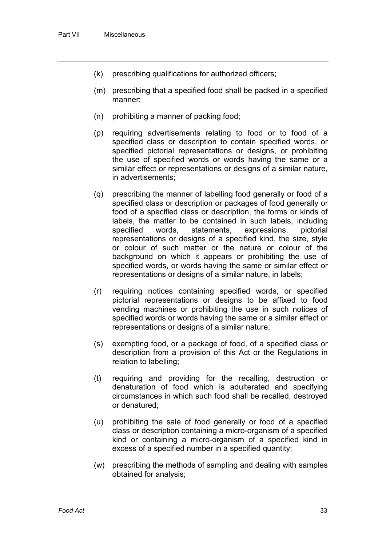- (k) prescribing qualifications for authorized officers;
- (m) prescribing that a specified food shall be packed in a specified manner;
- (n) prohibiting a manner of packing food;
- (p) requiring advertisements relating to food or to food of a specified class or description to contain specified words, or specified pictorial representations or designs, or prohibiting the use of specified words or words having the same or a similar effect or representations or designs of a similar nature, in advertisements;
- (q) prescribing the manner of labelling food generally or food of a specified class or description or packages of food generally or food of a specified class or description, the forms or kinds of labels, the matter to be contained in such labels, including<br>specified words, statements, expressions, pictorial expressions, pictorial representations or designs of a specified kind, the size, style or colour of such matter or the nature or colour of the background on which it appears or prohibiting the use of specified words, or words having the same or similar effect or representations or designs of a similar nature, in labels;
- (r) requiring notices containing specified words, or specified pictorial representations or designs to be affixed to food vending machines or prohibiting the use in such notices of specified words or words having the same or a similar effect or representations or designs of a similar nature;
- (s) exempting food, or a package of food, of a specified class or description from a provision of this Act or the Regulations in relation to labelling;
- (t) requiring and providing for the recalling, destruction or denaturation of food which is adulterated and specifying circumstances in which such food shall be recalled, destroyed or denatured;
- (u) prohibiting the sale of food generally or food of a specified class or description containing a micro-organism of a specified kind or containing a micro-organism of a specified kind in excess of a specified number in a specified quantity;
- (w) prescribing the methods of sampling and dealing with samples obtained for analysis;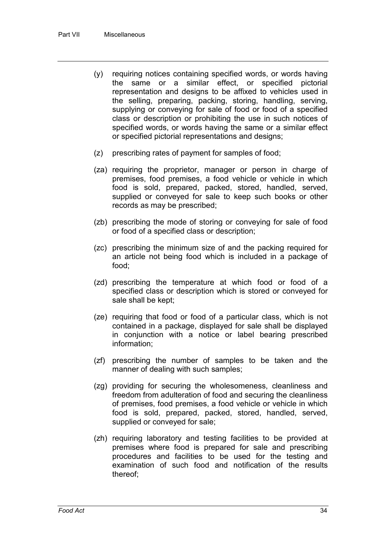- (y) requiring notices containing specified words, or words having the same or a similar effect, or specified pictorial representation and designs to be affixed to vehicles used in the selling, preparing, packing, storing, handling, serving, supplying or conveying for sale of food or food of a specified class or description or prohibiting the use in such notices of specified words, or words having the same or a similar effect or specified pictorial representations and designs;
- (z) prescribing rates of payment for samples of food;
- (za) requiring the proprietor, manager or person in charge of premises, food premises, a food vehicle or vehicle in which food is sold, prepared, packed, stored, handled, served, supplied or conveyed for sale to keep such books or other records as may be prescribed;
- (zb) prescribing the mode of storing or conveying for sale of food or food of a specified class or description;
- (zc) prescribing the minimum size of and the packing required for an article not being food which is included in a package of food;
- (zd) prescribing the temperature at which food or food of a specified class or description which is stored or conveyed for sale shall be kept;
- (ze) requiring that food or food of a particular class, which is not contained in a package, displayed for sale shall be displayed in conjunction with a notice or label bearing prescribed information;
- (zf) prescribing the number of samples to be taken and the manner of dealing with such samples;
- (zg) providing for securing the wholesomeness, cleanliness and freedom from adulteration of food and securing the cleanliness of premises, food premises, a food vehicle or vehicle in which food is sold, prepared, packed, stored, handled, served, supplied or conveyed for sale;
- (zh) requiring laboratory and testing facilities to be provided at premises where food is prepared for sale and prescribing procedures and facilities to be used for the testing and examination of such food and notification of the results thereof;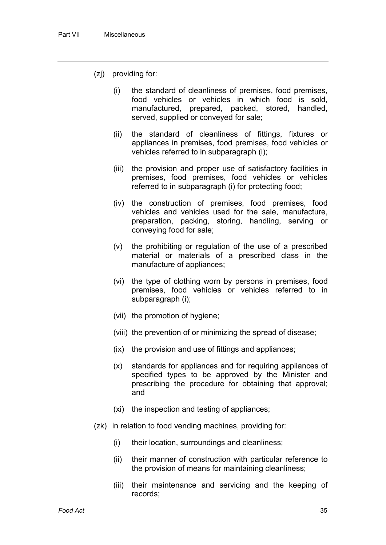- (zj) providing for:
	- (i) the standard of cleanliness of premises, food premises, food vehicles or vehicles in which food is sold, manufactured, prepared, packed, stored, handled, served, supplied or conveyed for sale;
	- (ii) the standard of cleanliness of fittings, fixtures or appliances in premises, food premises, food vehicles or vehicles referred to in subparagraph (i);
	- (iii) the provision and proper use of satisfactory facilities in premises, food premises, food vehicles or vehicles referred to in subparagraph (i) for protecting food;
	- (iv) the construction of premises, food premises, food vehicles and vehicles used for the sale, manufacture, preparation, packing, storing, handling, serving or conveying food for sale;
	- (v) the prohibiting or regulation of the use of a prescribed material or materials of a prescribed class in the manufacture of appliances;
	- (vi) the type of clothing worn by persons in premises, food premises, food vehicles or vehicles referred to in subparagraph (i);
	- (vii) the promotion of hygiene;
	- (viii) the prevention of or minimizing the spread of disease;
	- (ix) the provision and use of fittings and appliances;
	- (x) standards for appliances and for requiring appliances of specified types to be approved by the Minister and prescribing the procedure for obtaining that approval; and
	- (xi) the inspection and testing of appliances;
- (zk) in relation to food vending machines, providing for:
	- (i) their location, surroundings and cleanliness;
	- (ii) their manner of construction with particular reference to the provision of means for maintaining cleanliness;
	- (iii) their maintenance and servicing and the keeping of records;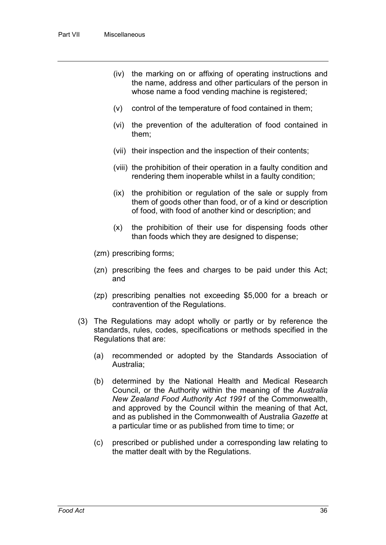- (iv) the marking on or affixing of operating instructions and the name, address and other particulars of the person in whose name a food vending machine is registered;
- (v) control of the temperature of food contained in them;
- (vi) the prevention of the adulteration of food contained in them;
- (vii) their inspection and the inspection of their contents;
- (viii) the prohibition of their operation in a faulty condition and rendering them inoperable whilst in a faulty condition;
- (ix) the prohibition or regulation of the sale or supply from them of goods other than food, or of a kind or description of food, with food of another kind or description; and
- (x) the prohibition of their use for dispensing foods other than foods which they are designed to dispense;
- (zm) prescribing forms;
- (zn) prescribing the fees and charges to be paid under this Act; and
- (zp) prescribing penalties not exceeding \$5,000 for a breach or contravention of the Regulations.
- (3) The Regulations may adopt wholly or partly or by reference the standards, rules, codes, specifications or methods specified in the Regulations that are:
	- (a) recommended or adopted by the Standards Association of Australia;
	- (b) determined by the National Health and Medical Research Council, or the Authority within the meaning of the *Australia New Zealand Food Authority Act 1991* of the Commonwealth, and approved by the Council within the meaning of that Act, and as published in the Commonwealth of Australia *Gazette* at a particular time or as published from time to time; or
	- (c) prescribed or published under a corresponding law relating to the matter dealt with by the Regulations.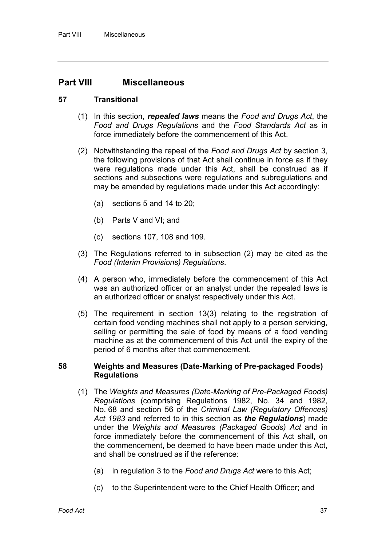## **Part VIII Miscellaneous**

#### **57 Transitional**

- (1) In this section, *repealed laws* means the *Food and Drugs Act*, the *Food and Drugs Regulations* and the *Food Standards Act* as in force immediately before the commencement of this Act.
- (2) Notwithstanding the repeal of the *Food and Drugs Act* by section 3, the following provisions of that Act shall continue in force as if they were regulations made under this Act, shall be construed as if sections and subsections were regulations and subregulations and may be amended by regulations made under this Act accordingly:
	- (a) sections 5 and 14 to 20;
	- (b) Parts V and VI; and
	- (c) sections 107, 108 and 109.
- (3) The Regulations referred to in subsection (2) may be cited as the *Food (Interim Provisions) Regulations*.
- (4) A person who, immediately before the commencement of this Act was an authorized officer or an analyst under the repealed laws is an authorized officer or analyst respectively under this Act.
- (5) The requirement in section 13(3) relating to the registration of certain food vending machines shall not apply to a person servicing, selling or permitting the sale of food by means of a food vending machine as at the commencement of this Act until the expiry of the period of 6 months after that commencement.

#### **58 Weights and Measures (Date-Marking of Pre-packaged Foods) Regulations**

- (1) The *Weights and Measures (Date-Marking of Pre-Packaged Foods) Regulations* (comprising Regulations 1982, No. 34 and 1982, No. 68 and section 56 of the *Criminal Law (Regulatory Offences) Act 1983* and referred to in this section as *the Regulations*) made under the *Weights and Measures (Packaged Goods) Act* and in force immediately before the commencement of this Act shall, on the commencement, be deemed to have been made under this Act, and shall be construed as if the reference:
	- (a) in regulation 3 to the *Food and Drugs Act* were to this Act;
	- (c) to the Superintendent were to the Chief Health Officer; and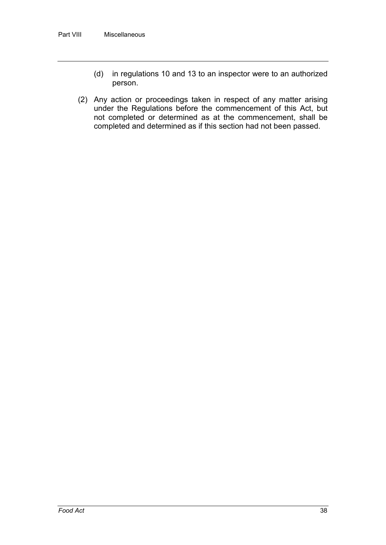- (d) in regulations 10 and 13 to an inspector were to an authorized person.
- (2) Any action or proceedings taken in respect of any matter arising under the Regulations before the commencement of this Act, but not completed or determined as at the commencement, shall be completed and determined as if this section had not been passed.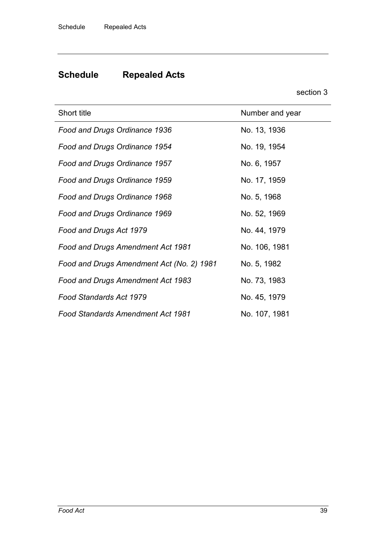# **Schedule Repealed Acts**

section 3

| Short title                               | Number and year |
|-------------------------------------------|-----------------|
| Food and Drugs Ordinance 1936             | No. 13, 1936    |
| Food and Drugs Ordinance 1954             | No. 19, 1954    |
| Food and Drugs Ordinance 1957             | No. 6, 1957     |
| Food and Drugs Ordinance 1959             | No. 17, 1959    |
| Food and Drugs Ordinance 1968             | No. 5, 1968     |
| Food and Drugs Ordinance 1969             | No. 52, 1969    |
| Food and Drugs Act 1979                   | No. 44, 1979    |
| Food and Drugs Amendment Act 1981         | No. 106, 1981   |
| Food and Drugs Amendment Act (No. 2) 1981 | No. 5, 1982     |
| Food and Drugs Amendment Act 1983         | No. 73, 1983    |
| Food Standards Act 1979                   | No. 45, 1979    |
| <b>Food Standards Amendment Act 1981</b>  | No. 107, 1981   |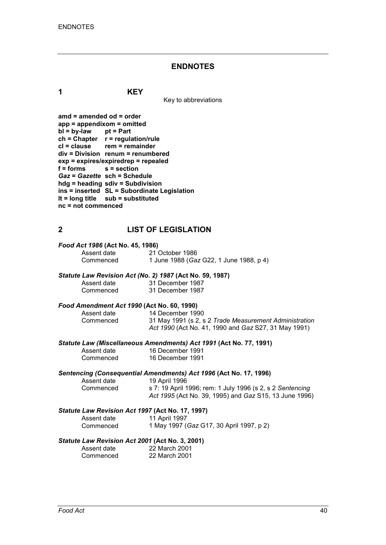#### **ENDNOTES**

**1 KEY**

Key to abbreviations

| amd = amended od = order<br>$app = appendixom = omitted$ |                                             |
|----------------------------------------------------------|---------------------------------------------|
|                                                          |                                             |
| $bl = by-law$ pt = Part                                  |                                             |
|                                                          | $ch = Chapter$ $r = regulation/rule$        |
|                                                          | cl = clause rem = remainder                 |
|                                                          | div = Division renum = renumbered           |
|                                                          | exp = expires/expiredrep = repealed         |
| f = forms s = section                                    |                                             |
|                                                          | Gaz = Gazette sch = Schedule                |
|                                                          | hdg = heading sdiv = Subdivision            |
|                                                          | ins = inserted SL = Subordinate Legislation |
|                                                          | It = long title sub = substituted           |
| nc = not commenced                                       |                                             |
|                                                          |                                             |

#### **2 LIST OF LEGISLATION**

# *Food Act 1986* **(Act No. 45, 1986)**

Assent date 21 October 1986<br>Commenced 1 June 1988 (Ga. Commenced 1 June 1988 (*Gaz* G22, 1 June 1988, p 4)

#### *Statute Law Revision Act (No. 2) 1987* **(Act No. 59, 1987)**

| Assent date | 31 December 1987 |
|-------------|------------------|
| Commenced   | 31 December 1987 |

# *Food Amendment Act 1990* **(Act No. 60, 1990)**

Assent date 14 December 1990<br>Commenced 31 May 1991 (s 2, s 31 May 1991 (s 2, s 2 *Trade Measurement Administration Act 1990* (Act No. 41, 1990 and *Gaz* S27, 31 May 1991)

*Statute Law (Miscellaneous Amendments) Act 1991* **(Act No. 77, 1991)** Assen<sup>t</sup>

| Assent date | 16 December 1991 |
|-------------|------------------|
| Commenced   | 16 December 1991 |

*Sentencing (Consequential Amendments) Act 1996* **(Act No. 17, 1996)**

Assent date 19 April 1996<br>Commenced s 7: 19 April 1

s 7: 19 April 1996; rem: 1 July 1996 (s 2, s 2 Sentencing *Act 1995* (Act No. 39, 1995) and *Gaz* S15, 13 June 1996)

#### *Statute Law Revision Act 1997* **(Act No. 17, 1997)**

| Assent date | 11 April 1997                            |
|-------------|------------------------------------------|
| Commenced   | 1 May 1997 (Gaz G17, 30 April 1997, p 2) |

#### *Statute Law Revision Act 2001* **(Act No. 3, 2001)**

| Assent date | 22 March 2001 |
|-------------|---------------|
| Commenced   | 22 March 2001 |